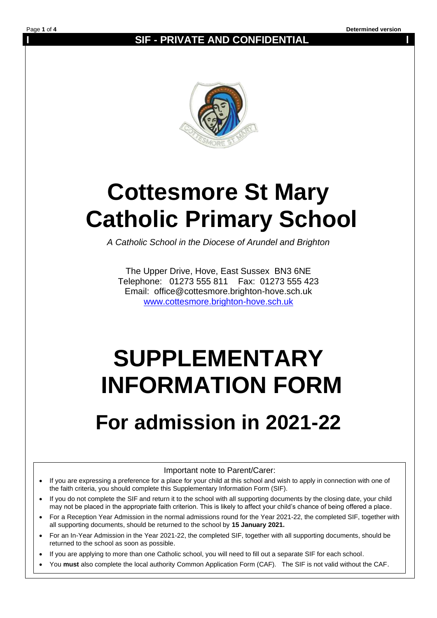**I SIF - PRIVATE AND CONFIDENTIAL l**



# **Cottesmore St Mary Catholic Primary School**

*A Catholic School in the Diocese of Arundel and Brighton*

The Upper Drive, Hove, East Sussex BN3 6NE Telephone: 01273 555 811 Fax: 01273 555 423 Email: office@cottesmore.brighton-hove.sch.uk [www.cottesmore.brighton-hove.sch.uk](http://www.cottesmore.brighton-hove.sch.uk/)

# **SUPPLEMENTARY INFORMATION FORM**

# **For admission in 2021-22**

Important note to Parent/Carer:

- If you are expressing a preference for a place for your child at this school and wish to apply in connection with one of the faith criteria, you should complete this Supplementary Information Form (SIF).
- If you do not complete the SIF and return it to the school with all supporting documents by the closing date, your child may not be placed in the appropriate faith criterion. This is likely to affect your child's chance of being offered a place.
- For a Reception Year Admission in the normal admissions round for the Year 2021-22, the completed SIF, together with all supporting documents, should be returned to the school by **15 January 2021.**
- For an In-Year Admission in the Year 2021-22, the completed SIF, together with all supporting documents, should be returned to the school as soon as possible.
- If you are applying to more than one Catholic school, you will need to fill out a separate SIF for each school.
- You **must** also complete the local authority Common Application Form (CAF). The SIF is not valid without the CAF.

•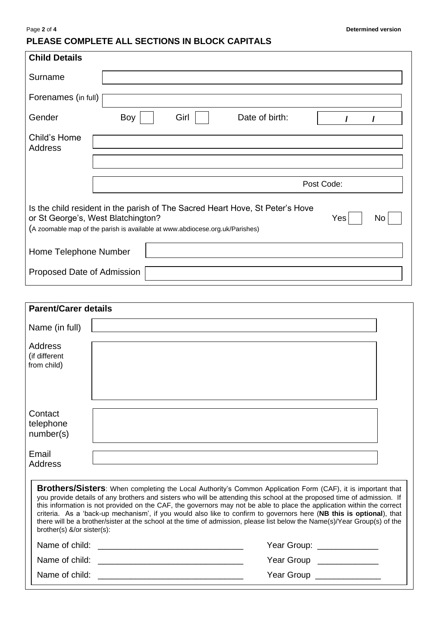# **PLEASE COMPLETE ALL SECTIONS IN BLOCK CAPITALS**

| <b>Child Details</b>                                                                                                                                                                                             |     |      |                |  |  |  |
|------------------------------------------------------------------------------------------------------------------------------------------------------------------------------------------------------------------|-----|------|----------------|--|--|--|
| Surname                                                                                                                                                                                                          |     |      |                |  |  |  |
| Forenames (in full)                                                                                                                                                                                              |     |      |                |  |  |  |
| Gender                                                                                                                                                                                                           | Boy | Girl | Date of birth: |  |  |  |
| Child's Home<br><b>Address</b>                                                                                                                                                                                   |     |      |                |  |  |  |
|                                                                                                                                                                                                                  |     |      |                |  |  |  |
|                                                                                                                                                                                                                  |     |      | Post Code:     |  |  |  |
| Is the child resident in the parish of The Sacred Heart Hove, St Peter's Hove<br>or St George's, West Blatchington?<br>Yes<br>No<br>(A zoomable map of the parish is available at www.abdiocese.org.uk/Parishes) |     |      |                |  |  |  |
| Home Telephone Number                                                                                                                                                                                            |     |      |                |  |  |  |
| Proposed Date of Admission                                                                                                                                                                                       |     |      |                |  |  |  |

| <b>Parent/Carer details</b>                                                                                                                                                                                                                                                                                                                                                                                                                                                                                                                                                                                                                                |                            |  |  |  |
|------------------------------------------------------------------------------------------------------------------------------------------------------------------------------------------------------------------------------------------------------------------------------------------------------------------------------------------------------------------------------------------------------------------------------------------------------------------------------------------------------------------------------------------------------------------------------------------------------------------------------------------------------------|----------------------------|--|--|--|
| Name (in full)                                                                                                                                                                                                                                                                                                                                                                                                                                                                                                                                                                                                                                             |                            |  |  |  |
| Address<br>(if different<br>from child)                                                                                                                                                                                                                                                                                                                                                                                                                                                                                                                                                                                                                    |                            |  |  |  |
| Contact<br>telephone<br>number(s)                                                                                                                                                                                                                                                                                                                                                                                                                                                                                                                                                                                                                          |                            |  |  |  |
| Email<br>Address                                                                                                                                                                                                                                                                                                                                                                                                                                                                                                                                                                                                                                           |                            |  |  |  |
| <b>Brothers/Sisters</b> : When completing the Local Authority's Common Application Form (CAF), it is important that<br>you provide details of any brothers and sisters who will be attending this school at the proposed time of admission. If<br>this information is not provided on the CAF, the governors may not be able to place the application within the correct<br>criteria. As a 'back-up mechanism', if you would also like to confirm to governors here (NB this is optional), that<br>there will be a brother/sister at the school at the time of admission, please list below the Name(s)/Year Group(s) of the<br>brother(s) &/or sister(s): |                            |  |  |  |
|                                                                                                                                                                                                                                                                                                                                                                                                                                                                                                                                                                                                                                                            | Year Group: ______________ |  |  |  |
|                                                                                                                                                                                                                                                                                                                                                                                                                                                                                                                                                                                                                                                            | Year Group ______________  |  |  |  |
|                                                                                                                                                                                                                                                                                                                                                                                                                                                                                                                                                                                                                                                            | Year Group ______________  |  |  |  |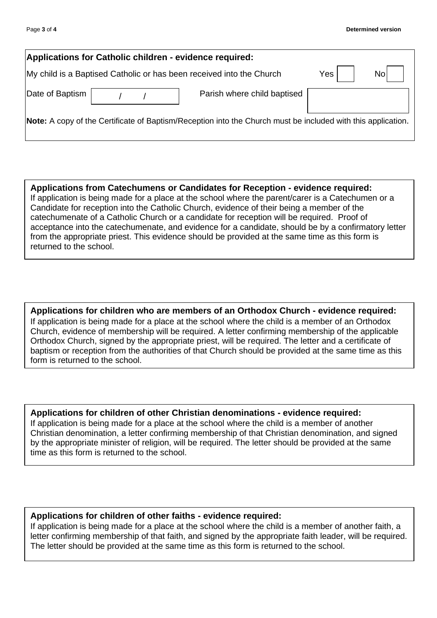| Applications for Catholic children - evidence required:                                                      |  |                             |     |     |  |  |
|--------------------------------------------------------------------------------------------------------------|--|-----------------------------|-----|-----|--|--|
| My child is a Baptised Catholic or has been received into the Church                                         |  |                             | Yes | Nol |  |  |
| Date of Baptism                                                                                              |  | Parish where child baptised |     |     |  |  |
| Note: A copy of the Certificate of Baptism/Reception into the Church must be included with this application. |  |                             |     |     |  |  |

**Applications from Catechumens or Candidates for Reception - evidence required:** If application is being made for a place at the school where the parent/carer is a Catechumen or a Candidate for reception into the Catholic Church, evidence of their being a member of the catechumenate of a Catholic Church or a candidate for reception will be required. Proof of acceptance into the catechumenate, and evidence for a candidate, should be by a confirmatory letter from the appropriate priest. This evidence should be provided at the same time as this form is returned to the school.

**Applications for children who are members of an Orthodox Church - evidence required:** If application is being made for a place at the school where the child is a member of an Orthodox Church, evidence of membership will be required. A letter confirming membership of the applicable Orthodox Church, signed by the appropriate priest, will be required. The letter and a certificate of baptism or reception from the authorities of that Church should be provided at the same time as this form is returned to the school.

# **Applications for children of other Christian denominations - evidence required:**

If application is being made for a place at the school where the child is a member of another Christian denomination, a letter confirming membership of that Christian denomination, and signed by the appropriate minister of religion, will be required. The letter should be provided at the same time as this form is returned to the school.

# **Applications for children of other faiths - evidence required:**

If application is being made for a place at the school where the child is a member of another faith, a letter confirming membership of that faith, and signed by the appropriate faith leader, will be required. The letter should be provided at the same time as this form is returned to the school.